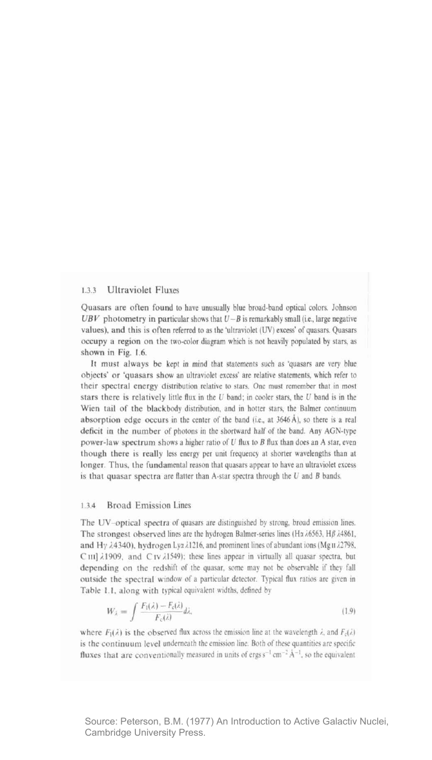## $133$ **Ultraviolet Fluxes**

Quasars are often found to have unusually blue broad-band optical colors. Johnson UBV photometry in particular shows that  $U - B$  is remarkably small (i.e., large negative values), and this is often referred to as the 'ultraviolet (UV) excess' of quasars. Quasars occupy a region on the two-color diagram which is not heavily populated by stars, as shown in Fig. 1.6.

It must always be kept in mind that statements such as 'quasars are very blue objects' or 'quasars show an ultraviolet excess' are relative statements, which refer to their spectral energy distribution relative to stars. One must remember that in most stars there is relatively little flux in the  $U$  band; in cooler stars, the  $U$  band is in the Wien tail of the blackbody distribution, and in hotter stars, the Balmer continuum absorption edge occurs in the center of the band (i.e., at 3646 Å), so there is a real deficit in the number of photons in the shortward half of the band. Any AGN-type power-law spectrum shows a higher ratio of U flux to B flux than does an A star, even though there is really less energy per unit frequency at shorter wavelengths than at longer. Thus, the fundamental reason that quasars appear to have an ultraviolet excess is that quasar spectra are flatter than A-star spectra through the  $U$  and  $B$  bands.

## $1.3.4$ **Broad Emission Lines**

The UV-optical spectra of quasars are distinguished by strong, broad emission lines. The strongest observed lines are the hydrogen Balmer-series lines (Hz $\lambda$ 6563, H $\beta$  $\lambda$ 4861, and Hy 24340), hydrogen Lya 21216, and prominent lines of abundant ions (MgII 22798,  $C \text{ III } \lambda 1909$ , and  $C \text{ IV } \lambda 1549$ ; these lines appear in virtually all quasar spectra, but depending on the redshift of the quasar, some may not be observable if they fall outside the spectral window of a particular detector. Typical flux ratios are given in Table 1.1, along with typical equivalent widths, defined by

$$
W_{\lambda} = \int \frac{F_1(\lambda) - F_c(\lambda)}{F_c(\lambda)} d\lambda,\tag{1.9}
$$

where  $F_1(\lambda)$  is the observed flux across the emission line at the wavelength  $\lambda$ , and  $F_5(\lambda)$ is the continuum level underneath the emission line. Both of these quantities are specific fluxes that are conventionally measured in units of ergs  $s^{-1}$  cm<sup>-2</sup>  $\rm \AA^{-1}$ , so the equivalent

Source: Peterson, B.M. (1977) An Introduction to Active Galactiv Nuclei. Cambridge University Press.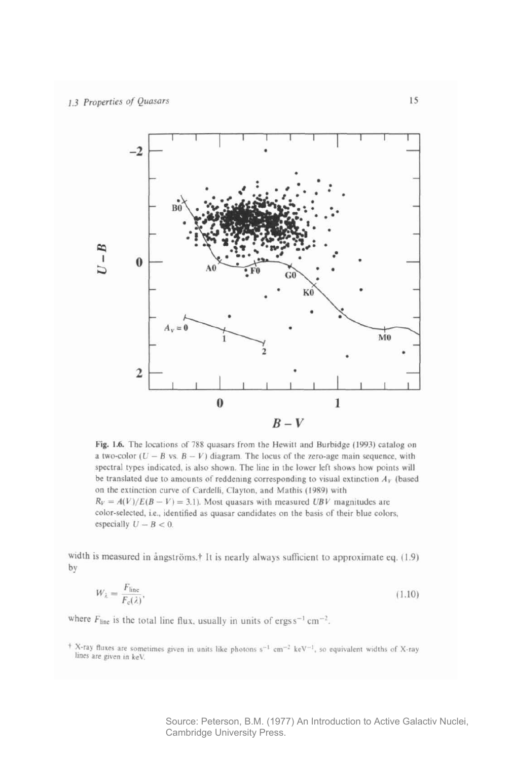

Fig. 1.6. The locations of 788 quasars from the Hewitt and Burbidge (1993) catalog on a two-color  $(U - B)$  vs.  $B - V$ ) diagram. The locus of the zero-age main sequence, with spectral types indicated, is also shown. The line in the lower left shows how points will be translated due to amounts of reddening corresponding to visual extinction  $A_V$  (based on the extinction curve of Cardelli, Clayton, and Mathis (1989) with  $R_V = A(V)/E(B - V) = 3.1$ ). Most quasars with measured UBV magnitudes are color-selected, i.e., identified as quasar candidates on the basis of their blue colors, especially  $U - B < 0$ .

width is measured in ångströms.<sup>†</sup> It is nearly always sufficient to approximate eq. (1.9) by

$$
W_{\lambda} = \frac{F_{\text{line}}}{F_{\text{c}}(\lambda)},\tag{1.10}
$$

where  $F_{\text{line}}$  is the total line flux, usually in units of ergs s<sup>-1</sup> cm<sup>-2</sup>.

<sup>+</sup> X-ray fluxes are sometimes given in units like photons s<sup>-1</sup> cm<sup>-2</sup> keV<sup>-1</sup>, so equivalent widths of X-ray lines are given in keV.

> Source: Peterson, B.M. (1977) An Introduction to Active Galactiv Nuclei, Cambridge University Press.